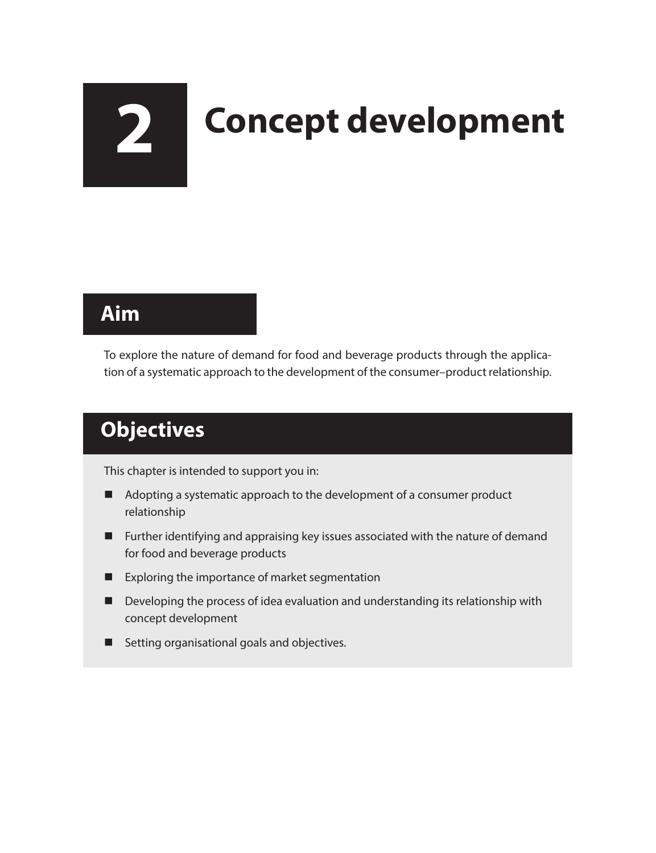# **2 Concept development**

## **Aim**

To explore the nature of demand for food and beverage products through the application of a systematic approach to the development of the consumer–product relationship.

# **Objectives**

This chapter is intended to support you in:

- Adopting a systematic approach to the development of a consumer product relationship
- **Further identifying and appraising key issues associated with the nature of demand** for food and beverage products
- **EXPLOREGIST EXPLORED EXPLORED EXPLORED EXPLORED EXPLORED EXPLORED EXPLORED EXPLORED EXPLORED EXPLORED EXPLORED**
- Developing the process of idea evaluation and understanding its relationship with concept development
- Setting organisational goals and objectives.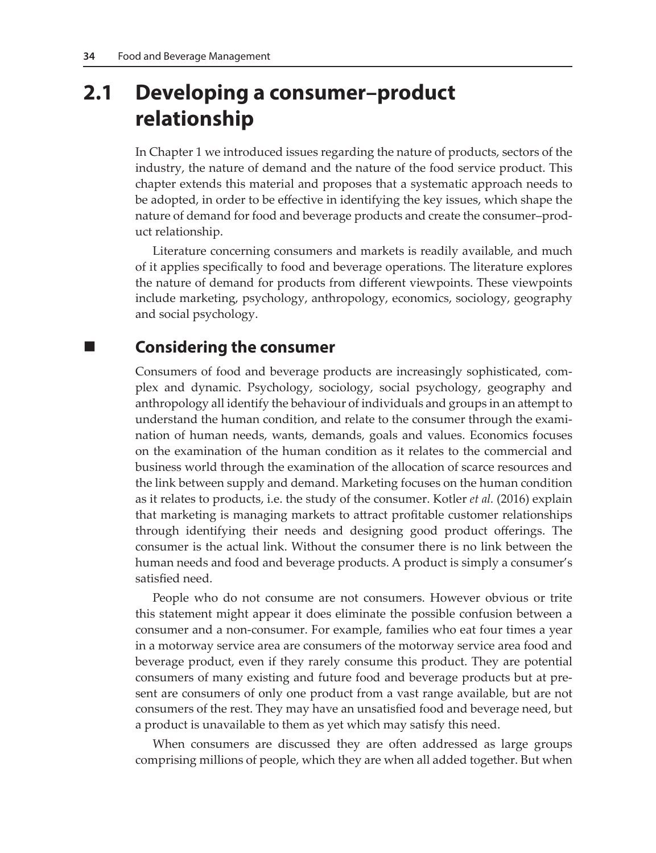# **2.1 Developing a consumer–product relationship**

In Chapter 1 we introduced issues regarding the nature of products, sectors of the industry, the nature of demand and the nature of the food service product. This chapter extends this material and proposes that a systematic approach needs to be adopted, in order to be effective in identifying the key issues, which shape the nature of demand for food and beverage products and create the consumer–product relationship.

Literature concerning consumers and markets is readily available, and much of it applies specifically to food and beverage operations. The literature explores the nature of demand for products from different viewpoints. These viewpoints include marketing, psychology, anthropology, economics, sociology, geography and social psychology.

### **Considering the consumer**

Consumers of food and beverage products are increasingly sophisticated, complex and dynamic. Psychology, sociology, social psychology, geography and anthropology all identify the behaviour of individuals and groups in an attempt to understand the human condition, and relate to the consumer through the examination of human needs, wants, demands, goals and values. Economics focuses on the examination of the human condition as it relates to the commercial and business world through the examination of the allocation of scarce resources and the link between supply and demand. Marketing focuses on the human condition as it relates to products, i.e. the study of the consumer. Kotler *et al.* (2016) explain that marketing is managing markets to attract profitable customer relationships through identifying their needs and designing good product offerings. The consumer is the actual link. Without the consumer there is no link between the human needs and food and beverage products. A product is simply a consumer's satisfied need.

People who do not consume are not consumers. However obvious or trite this statement might appear it does eliminate the possible confusion between a consumer and a non-consumer. For example, families who eat four times a year in a motorway service area are consumers of the motorway service area food and beverage product, even if they rarely consume this product. They are potential consumers of many existing and future food and beverage products but at present are consumers of only one product from a vast range available, but are not consumers of the rest. They may have an unsatisfied food and beverage need, but a product is unavailable to them as yet which may satisfy this need.

When consumers are discussed they are often addressed as large groups comprising millions of people, which they are when all added together. But when